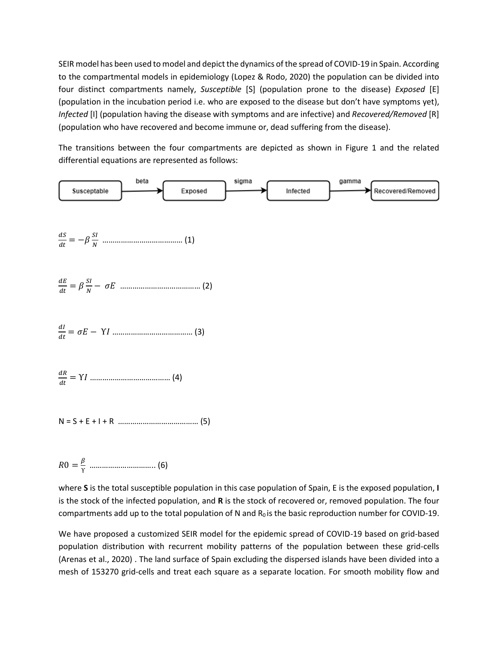SEIR model has been used to model and depict the dynamics of the spread of COVID-19 in Spain. According to the compartmental models in epidemiology (Lopez & Rodo, 2020) the population can be divided into four distinct compartments namely, *Susceptible* [S] (population prone to the disease) *Exposed* [E] (population in the incubation period i.e. who are exposed to the disease but don't have symptoms yet), *Infected* [I] (population having the disease with symptoms and are infective) and *Recovered/Removed* [R] (population who have recovered and become immune or, dead suffering from the disease).

The transitions between the four compartments are depicted as shown in Figure 1 and the related differential equations are represented as follows:



 $RO = \frac{\beta}{\nu}$ ϒ ………………………….. (6)

where **S** is the total susceptible population in this case population of Spain, E is the exposed population, **I** is the stock of the infected population, and **R** is the stock of recovered or, removed population. The four compartments add up to the total population of N and  $R_0$  is the basic reproduction number for COVID-19.

We have proposed a customized SEIR model for the epidemic spread of COVID-19 based on grid-based population distribution with recurrent mobility patterns of the population between these grid-cells (Arenas et al., 2020) . The land surface of Spain excluding the dispersed islands have been divided into a mesh of 153270 grid-cells and treat each square as a separate location. For smooth mobility flow and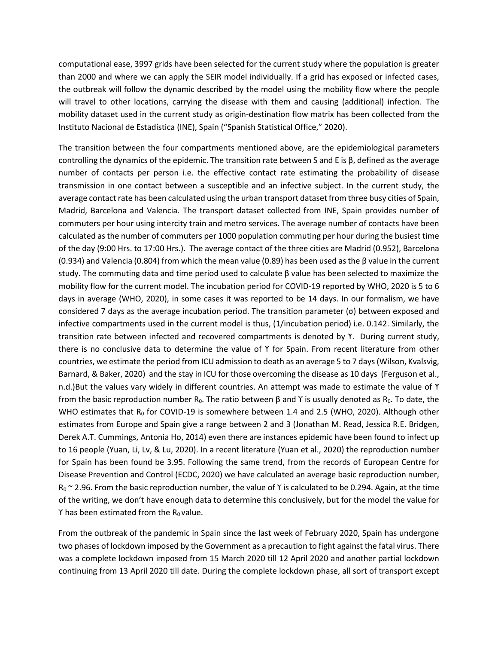computational ease, 3997 grids have been selected for the current study where the population is greater than 2000 and where we can apply the SEIR model individually. If a grid has exposed or infected cases, the outbreak will follow the dynamic described by the model using the mobility flow where the people will travel to other locations, carrying the disease with them and causing (additional) infection. The mobility dataset used in the current study as origin-destination flow matrix has been collected from the Instituto Nacional de Estadística (INE), Spain ("Spanish Statistical Office," 2020).

The transition between the four compartments mentioned above, are the epidemiological parameters controlling the dynamics of the epidemic. The transition rate between S and E is β, defined as the average number of contacts per person i.e. the effective contact rate estimating the probability of disease transmission in one contact between a susceptible and an infective subject. In the current study, the average contact rate has been calculated using the urban transport dataset from three busy cities of Spain, Madrid, Barcelona and Valencia. The transport dataset collected from INE, Spain provides number of commuters per hour using intercity train and metro services. The average number of contacts have been calculated as the number of commuters per 1000 population commuting per hour during the busiest time of the day (9:00 Hrs. to 17:00 Hrs.). The average contact of the three cities are Madrid (0.952), Barcelona (0.934) and Valencia (0.804) from which the mean value (0.89) has been used as the β value in the current study. The commuting data and time period used to calculate β value has been selected to maximize the mobility flow for the current model. The incubation period for COVID-19 reported by WHO, 2020 is 5 to 6 days in average (WHO, 2020), in some cases it was reported to be 14 days. In our formalism, we have considered 7 days as the average incubation period. The transition parameter (σ) between exposed and infective compartments used in the current model is thus, (1/incubation period) i.e. 0.142. Similarly, the transition rate between infected and recovered compartments is denoted by ϒ. During current study, there is no conclusive data to determine the value of Υ for Spain. From recent literature from other countries, we estimate the period from ICU admission to death as an average 5 to 7 days(Wilson, Kvalsvig, Barnard, & Baker, 2020) and the stay in ICU for those overcoming the disease as 10 days (Ferguson et al., n.d.)But the values vary widely in different countries. An attempt was made to estimate the value of Υ from the basic reproduction number  $R_0$ . The ratio between β and *Y* is usually denoted as  $R_0$ . To date, the WHO estimates that  $R_0$  for COVID-19 is somewhere between 1.4 and 2.5 (WHO, 2020). Although other estimates from Europe and Spain give a range between 2 and 3 (Jonathan M. Read, Jessica R.E. Bridgen, Derek A.T. Cummings, Antonia Ho, 2014) even there are instances epidemic have been found to infect up to 16 people (Yuan, Li, Lv, & Lu, 2020). In a recent literature (Yuan et al., 2020) the reproduction number for Spain has been found be 3.95. Following the same trend, from the records of European Centre for Disease Prevention and Control (ECDC, 2020) we have calculated an average basic reproduction number,  $R_0 \approx 2.96$ . From the basic reproduction number, the value of Y is calculated to be 0.294. Again, at the time of the writing, we don't have enough data to determine this conclusively, but for the model the value for  $Y$  has been estimated from the  $R_0$  value.

From the outbreak of the pandemic in Spain since the last week of February 2020, Spain has undergone two phases of lockdown imposed by the Government as a precaution to fight against the fatal virus. There was a complete lockdown imposed from 15 March 2020 till 12 April 2020 and another partial lockdown continuing from 13 April 2020 till date. During the complete lockdown phase, all sort of transport except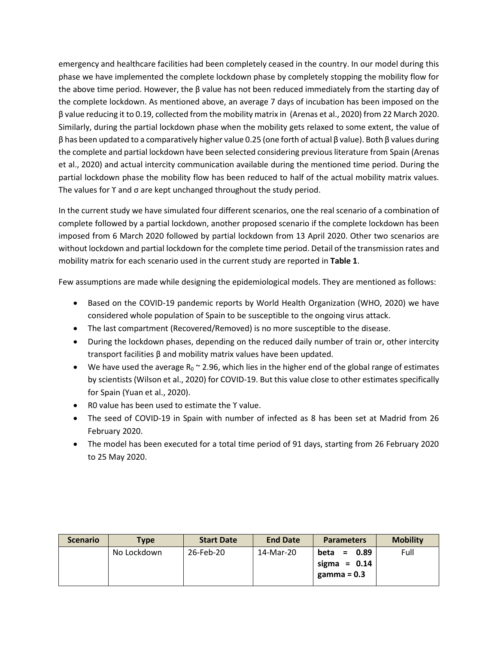emergency and healthcare facilities had been completely ceased in the country. In our model during this phase we have implemented the complete lockdown phase by completely stopping the mobility flow for the above time period. However, the  $\beta$  value has not been reduced immediately from the starting day of the complete lockdown. As mentioned above, an average 7 days of incubation has been imposed on the β value reducing it to 0.19, collected from the mobility matrix in (Arenas et al., 2020) from 22 March 2020. Similarly, during the partial lockdown phase when the mobility gets relaxed to some extent, the value of β has been updated to a comparatively higher value 0.25 (one forth of actual β value). Both β values during the complete and partial lockdown have been selected considering previous literature from Spain (Arenas et al., 2020) and actual intercity communication available during the mentioned time period. During the partial lockdown phase the mobility flow has been reduced to half of the actual mobility matrix values. The values for ϒ and σ are kept unchanged throughout the study period.

In the current study we have simulated four different scenarios, one the real scenario of a combination of complete followed by a partial lockdown, another proposed scenario if the complete lockdown has been imposed from 6 March 2020 followed by partial lockdown from 13 April 2020. Other two scenarios are without lockdown and partial lockdown for the complete time period. Detail of the transmission rates and mobility matrix for each scenario used in the current study are reported in **Table 1**.

Few assumptions are made while designing the epidemiological models. They are mentioned as follows:

- Based on the COVID-19 pandemic reports by World Health Organization (WHO, 2020) we have considered whole population of Spain to be susceptible to the ongoing virus attack.
- The last compartment (Recovered/Removed) is no more susceptible to the disease.
- During the lockdown phases, depending on the reduced daily number of train or, other intercity transport facilities β and mobility matrix values have been updated.
- We have used the average  $R_0 \approx 2.96$ , which lies in the higher end of the global range of estimates by scientists (Wilson et al., 2020) for COVID-19. But this value close to other estimates specifically for Spain (Yuan et al., 2020).
- R0 value has been used to estimate the ϒ value.
- The seed of COVID-19 in Spain with number of infected as 8 has been set at Madrid from 26 February 2020.
- The model has been executed for a total time period of 91 days, starting from 26 February 2020 to 25 May 2020.

| <b>Scenario</b> | <b>Type</b> | <b>Start Date</b> | <b>End Date</b> | <b>Parameters</b>   | <b>Mobility</b> |
|-----------------|-------------|-------------------|-----------------|---------------------|-----------------|
|                 | No Lockdown | 26-Feb-20         | 14-Mar-20       | 0.89<br>beta<br>$=$ | Full            |
|                 |             |                   |                 | sigma = $0.14$      |                 |
|                 |             |                   |                 | gamma = $0.3$       |                 |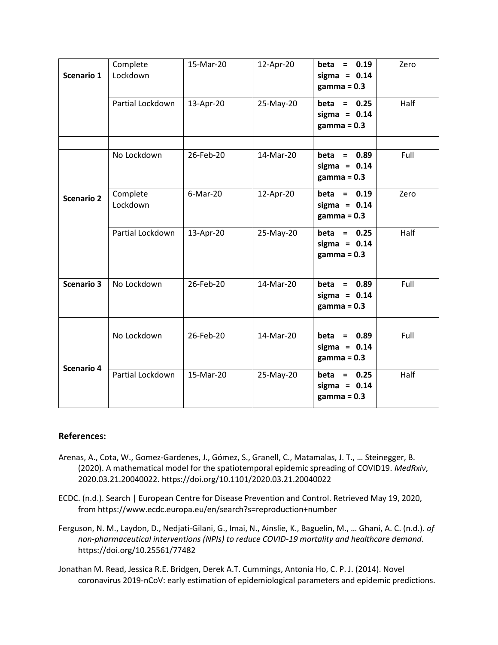| Scenario 1        | Complete<br>Lockdown | 15-Mar-20   | 12-Apr-20 | beta = $0.19$<br>sigma = $0.14$<br>$gamma = 0.3$  | Zero |
|-------------------|----------------------|-------------|-----------|---------------------------------------------------|------|
|                   | Partial Lockdown     | 13-Apr-20   | 25-May-20 | beta = $0.25$<br>sigma = $0.14$<br>$gamma = 0.3$  | Half |
| <b>Scenario 2</b> | No Lockdown          | 26-Feb-20   | 14-Mar-20 | $beta = 0.89$<br>sigma = $0.14$<br>$gamma = 0.3$  | Full |
|                   | Complete<br>Lockdown | $6$ -Mar-20 | 12-Apr-20 | beta = $0.19$<br>sigma = $0.14$<br>$gamma = 0.3$  | Zero |
|                   | Partial Lockdown     | 13-Apr-20   | 25-May-20 | beta = $0.25$<br>sigma = $0.14$<br>$gamma = 0.3$  | Half |
| <b>Scenario 3</b> | No Lockdown          | 26-Feb-20   | 14-Mar-20 | $beta = 0.89$<br>sigma = $0.14$<br>$gamma = 0.3$  | Full |
| <b>Scenario 4</b> | No Lockdown          | 26-Feb-20   | 14-Mar-20 | 0.89<br>beta =<br>sigma = $0.14$<br>$gamma = 0.3$ | Full |
|                   | Partial Lockdown     | 15-Mar-20   | 25-May-20 | 0.25<br>beta =<br>sigma = $0.14$<br>$gamma = 0.3$ | Half |

## **References:**

- Arenas, A., Cota, W., Gomez-Gardenes, J., Gómez, S., Granell, C., Matamalas, J. T., … Steinegger, B. (2020). A mathematical model for the spatiotemporal epidemic spreading of COVID19. *MedRxiv*, 2020.03.21.20040022. https://doi.org/10.1101/2020.03.21.20040022
- ECDC. (n.d.). Search | European Centre for Disease Prevention and Control. Retrieved May 19, 2020, from https://www.ecdc.europa.eu/en/search?s=reproduction+number
- Ferguson, N. M., Laydon, D., Nedjati-Gilani, G., Imai, N., Ainslie, K., Baguelin, M., … Ghani, A. C. (n.d.). *of non-pharmaceutical interventions (NPIs) to reduce COVID-19 mortality and healthcare demand*. https://doi.org/10.25561/77482
- Jonathan M. Read, Jessica R.E. Bridgen, Derek A.T. Cummings, Antonia Ho, C. P. J. (2014). Novel coronavirus 2019-nCoV: early estimation of epidemiological parameters and epidemic predictions.